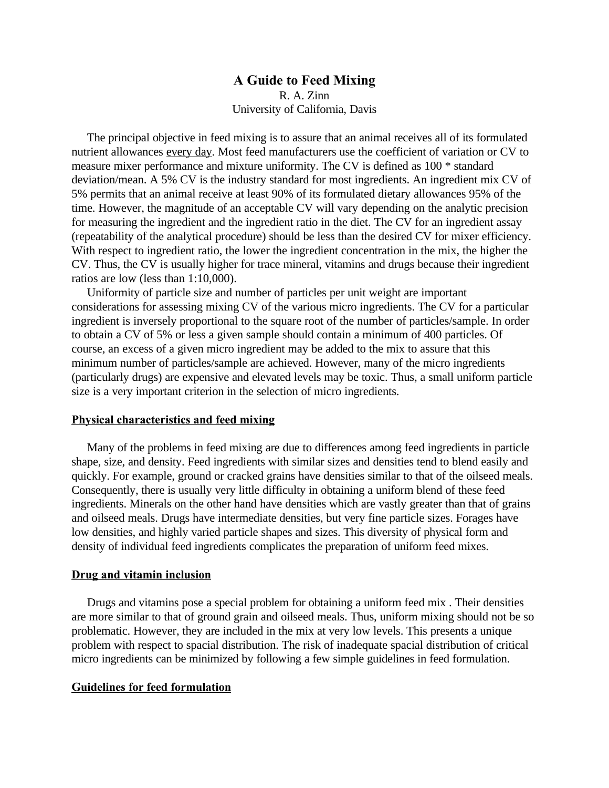# **A Guide to Feed Mixing** R. A. Zinn University of California, Davis

 The principal objective in feed mixing is to assure that an animal receives all of its formulated nutrient allowances every day. Most feed manufacturers use the coefficient of variation or CV to measure mixer performance and mixture uniformity. The CV is defined as 100 \* standard deviation/mean. A 5% CV is the industry standard for most ingredients. An ingredient mix CV of 5% permits that an animal receive at least 90% of its formulated dietary allowances 95% of the time. However, the magnitude of an acceptable CV will vary depending on the analytic precision for measuring the ingredient and the ingredient ratio in the diet. The CV for an ingredient assay (repeatability of the analytical procedure) should be less than the desired CV for mixer efficiency. With respect to ingredient ratio, the lower the ingredient concentration in the mix, the higher the CV. Thus, the CV is usually higher for trace mineral, vitamins and drugs because their ingredient ratios are low (less than 1:10,000).

 Uniformity of particle size and number of particles per unit weight are important considerations for assessing mixing CV of the various micro ingredients. The CV for a particular ingredient is inversely proportional to the square root of the number of particles/sample. In order to obtain a CV of 5% or less a given sample should contain a minimum of 400 particles. Of course, an excess of a given micro ingredient may be added to the mix to assure that this minimum number of particles/sample are achieved. However, many of the micro ingredients (particularly drugs) are expensive and elevated levels may be toxic. Thus, a small uniform particle size is a very important criterion in the selection of micro ingredients.

#### **Physical characteristics and feed mixing**

 Many of the problems in feed mixing are due to differences among feed ingredients in particle shape, size, and density. Feed ingredients with similar sizes and densities tend to blend easily and quickly. For example, ground or cracked grains have densities similar to that of the oilseed meals. Consequently, there is usually very little difficulty in obtaining a uniform blend of these feed ingredients. Minerals on the other hand have densities which are vastly greater than that of grains and oilseed meals. Drugs have intermediate densities, but very fine particle sizes. Forages have low densities, and highly varied particle shapes and sizes. This diversity of physical form and density of individual feed ingredients complicates the preparation of uniform feed mixes.

### **Drug and vitamin inclusion**

 Drugs and vitamins pose a special problem for obtaining a uniform feed mix . Their densities are more similar to that of ground grain and oilseed meals. Thus, uniform mixing should not be so problematic. However, they are included in the mix at very low levels. This presents a unique problem with respect to spacial distribution. The risk of inadequate spacial distribution of critical micro ingredients can be minimized by following a few simple guidelines in feed formulation.

#### **Guidelines for feed formulation**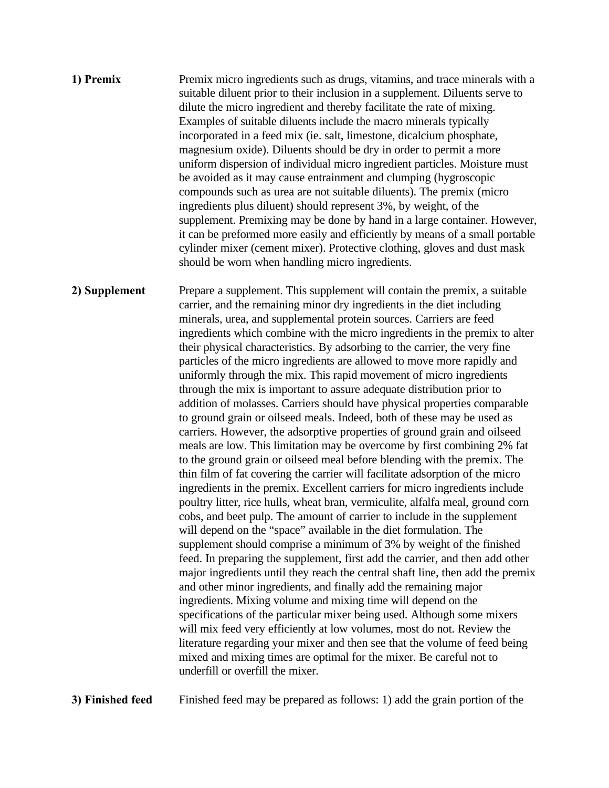**1) Premix** Premix micro ingredients such as drugs, vitamins, and trace minerals with a suitable diluent prior to their inclusion in a supplement. Diluents serve to dilute the micro ingredient and thereby facilitate the rate of mixing. Examples of suitable diluents include the macro minerals typically incorporated in a feed mix (ie. salt, limestone, dicalcium phosphate, magnesium oxide). Diluents should be dry in order to permit a more uniform dispersion of individual micro ingredient particles. Moisture must be avoided as it may cause entrainment and clumping (hygroscopic compounds such as urea are not suitable diluents). The premix (micro ingredients plus diluent) should represent 3%, by weight, of the supplement. Premixing may be done by hand in a large container. However, it can be preformed more easily and efficiently by means of a small portable cylinder mixer (cement mixer). Protective clothing, gloves and dust mask should be worn when handling micro ingredients.

**2) Supplement** Prepare a supplement. This supplement will contain the premix, a suitable carrier, and the remaining minor dry ingredients in the diet including minerals, urea, and supplemental protein sources. Carriers are feed ingredients which combine with the micro ingredients in the premix to alter their physical characteristics. By adsorbing to the carrier, the very fine particles of the micro ingredients are allowed to move more rapidly and uniformly through the mix. This rapid movement of micro ingredients through the mix is important to assure adequate distribution prior to addition of molasses. Carriers should have physical properties comparable to ground grain or oilseed meals. Indeed, both of these may be used as carriers. However, the adsorptive properties of ground grain and oilseed meals are low. This limitation may be overcome by first combining 2% fat to the ground grain or oilseed meal before blending with the premix. The thin film of fat covering the carrier will facilitate adsorption of the micro ingredients in the premix. Excellent carriers for micro ingredients include poultry litter, rice hulls, wheat bran, vermiculite, alfalfa meal, ground corn cobs, and beet pulp. The amount of carrier to include in the supplement will depend on the "space" available in the diet formulation. The supplement should comprise a minimum of 3% by weight of the finished feed. In preparing the supplement, first add the carrier, and then add other major ingredients until they reach the central shaft line, then add the premix and other minor ingredients, and finally add the remaining major ingredients. Mixing volume and mixing time will depend on the specifications of the particular mixer being used. Although some mixers will mix feed very efficiently at low volumes, most do not. Review the literature regarding your mixer and then see that the volume of feed being mixed and mixing times are optimal for the mixer. Be careful not to underfill or overfill the mixer.

**3) Finished feed** Finished feed may be prepared as follows: 1) add the grain portion of the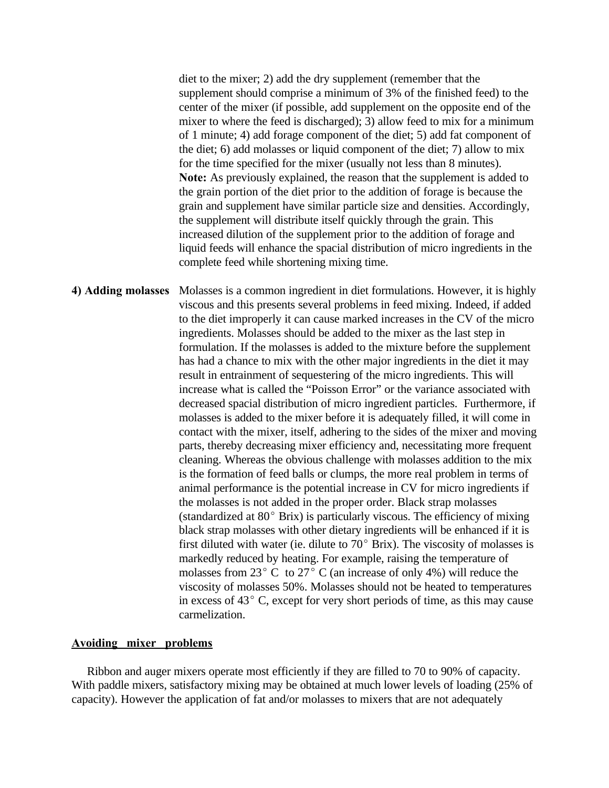diet to the mixer; 2) add the dry supplement (remember that the supplement should comprise a minimum of 3% of the finished feed) to the center of the mixer (if possible, add supplement on the opposite end of the mixer to where the feed is discharged); 3) allow feed to mix for a minimum of 1 minute; 4) add forage component of the diet; 5) add fat component of the diet; 6) add molasses or liquid component of the diet; 7) allow to mix for the time specified for the mixer (usually not less than 8 minutes). **Note:** As previously explained, the reason that the supplement is added to the grain portion of the diet prior to the addition of forage is because the grain and supplement have similar particle size and densities. Accordingly, the supplement will distribute itself quickly through the grain. This increased dilution of the supplement prior to the addition of forage and liquid feeds will enhance the spacial distribution of micro ingredients in the complete feed while shortening mixing time.

**4) Adding molasses** Molasses is a common ingredient in diet formulations. However, it is highly viscous and this presents several problems in feed mixing. Indeed, if added to the diet improperly it can cause marked increases in the CV of the micro ingredients. Molasses should be added to the mixer as the last step in formulation. If the molasses is added to the mixture before the supplement has had a chance to mix with the other major ingredients in the diet it may result in entrainment of sequestering of the micro ingredients. This will increase what is called the "Poisson Error" or the variance associated with decreased spacial distribution of micro ingredient particles. Furthermore, if molasses is added to the mixer before it is adequately filled, it will come in contact with the mixer, itself, adhering to the sides of the mixer and moving parts, thereby decreasing mixer efficiency and, necessitating more frequent cleaning. Whereas the obvious challenge with molasses addition to the mix is the formation of feed balls or clumps, the more real problem in terms of animal performance is the potential increase in CV for micro ingredients if the molasses is not added in the proper order. Black strap molasses (standardized at  $80^{\circ}$  Brix) is particularly viscous. The efficiency of mixing black strap molasses with other dietary ingredients will be enhanced if it is first diluted with water (ie. dilute to  $70^{\circ}$  Brix). The viscosity of molasses is markedly reduced by heating. For example, raising the temperature of molasses from 23 $^{\circ}$  C to 27 $^{\circ}$  C (an increase of only 4%) will reduce the viscosity of molasses 50%. Molasses should not be heated to temperatures in excess of  $43^{\circ}$  C, except for very short periods of time, as this may cause carmelization.

# **Avoiding mixer problems**

 Ribbon and auger mixers operate most efficiently if they are filled to 70 to 90% of capacity. With paddle mixers, satisfactory mixing may be obtained at much lower levels of loading (25% of capacity). However the application of fat and/or molasses to mixers that are not adequately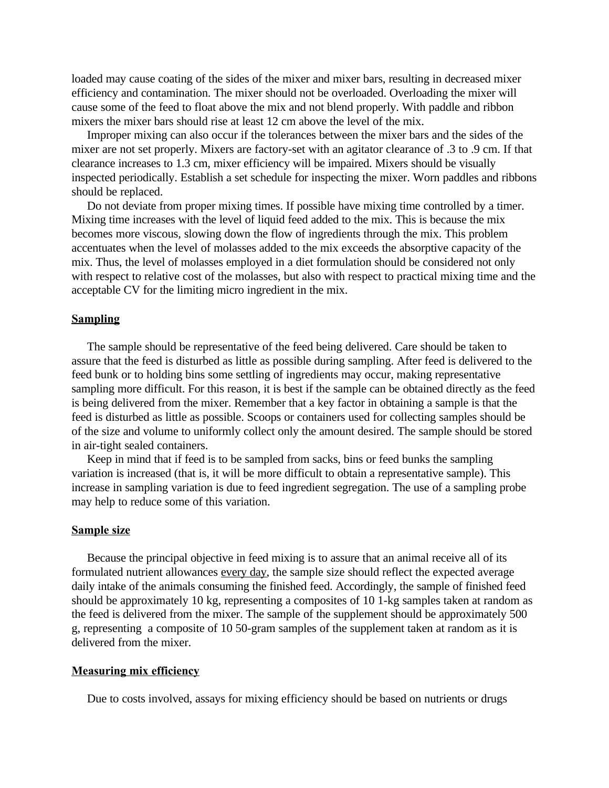loaded may cause coating of the sides of the mixer and mixer bars, resulting in decreased mixer efficiency and contamination. The mixer should not be overloaded. Overloading the mixer will cause some of the feed to float above the mix and not blend properly. With paddle and ribbon mixers the mixer bars should rise at least 12 cm above the level of the mix.

 Improper mixing can also occur if the tolerances between the mixer bars and the sides of the mixer are not set properly. Mixers are factory-set with an agitator clearance of .3 to .9 cm. If that clearance increases to 1.3 cm, mixer efficiency will be impaired. Mixers should be visually inspected periodically. Establish a set schedule for inspecting the mixer. Worn paddles and ribbons should be replaced.

 Do not deviate from proper mixing times. If possible have mixing time controlled by a timer. Mixing time increases with the level of liquid feed added to the mix. This is because the mix becomes more viscous, slowing down the flow of ingredients through the mix. This problem accentuates when the level of molasses added to the mix exceeds the absorptive capacity of the mix. Thus, the level of molasses employed in a diet formulation should be considered not only with respect to relative cost of the molasses, but also with respect to practical mixing time and the acceptable CV for the limiting micro ingredient in the mix.

### **Sampling**

 The sample should be representative of the feed being delivered. Care should be taken to assure that the feed is disturbed as little as possible during sampling. After feed is delivered to the feed bunk or to holding bins some settling of ingredients may occur, making representative sampling more difficult. For this reason, it is best if the sample can be obtained directly as the feed is being delivered from the mixer. Remember that a key factor in obtaining a sample is that the feed is disturbed as little as possible. Scoops or containers used for collecting samples should be of the size and volume to uniformly collect only the amount desired. The sample should be stored in air-tight sealed containers.

 Keep in mind that if feed is to be sampled from sacks, bins or feed bunks the sampling variation is increased (that is, it will be more difficult to obtain a representative sample). This increase in sampling variation is due to feed ingredient segregation. The use of a sampling probe may help to reduce some of this variation.

### **Sample size**

 Because the principal objective in feed mixing is to assure that an animal receive all of its formulated nutrient allowances every day, the sample size should reflect the expected average daily intake of the animals consuming the finished feed. Accordingly, the sample of finished feed should be approximately 10 kg, representing a composites of 10 1-kg samples taken at random as the feed is delivered from the mixer. The sample of the supplement should be approximately 500 g, representing a composite of 10 50-gram samples of the supplement taken at random as it is delivered from the mixer.

## **Measuring mix efficiency**

Due to costs involved, assays for mixing efficiency should be based on nutrients or drugs